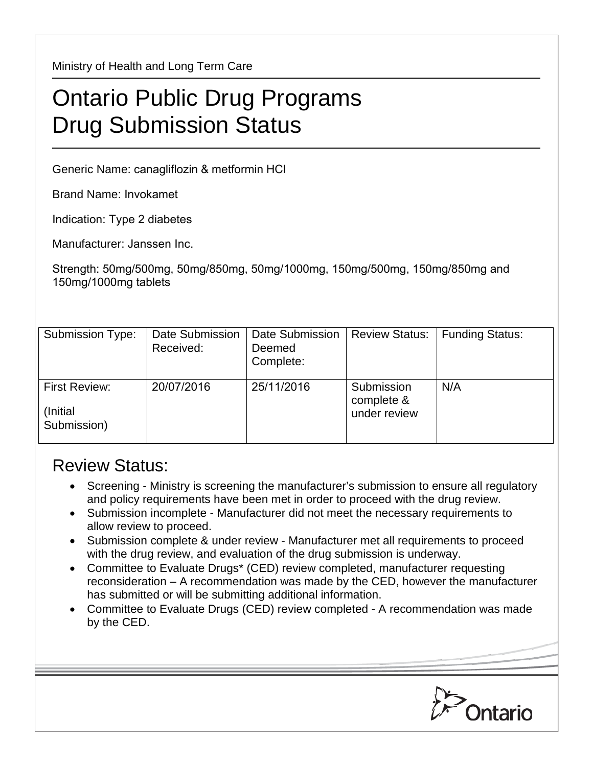Ministry of Health and Long Term Care

## Ontario Public Drug Programs Drug Submission Status

Generic Name: canagliflozin & metformin HCl

Brand Name: Invokamet

Indication: Type 2 diabetes

Manufacturer: Janssen Inc.

Strength: 50mg/500mg, 50mg/850mg, 50mg/1000mg, 150mg/500mg, 150mg/850mg and 150mg/1000mg tablets

| Submission Type:                                 | Date Submission<br>Received: | Date Submission<br>Deemed<br>Complete: | <b>Review Status:</b>                    | <b>Funding Status:</b> |
|--------------------------------------------------|------------------------------|----------------------------------------|------------------------------------------|------------------------|
| <b>First Review:</b><br>(Initial)<br>Submission) | 20/07/2016                   | 25/11/2016                             | Submission<br>complete &<br>under review | N/A                    |

## Review Status:

- Screening Ministry is screening the manufacturer's submission to ensure all regulatory and policy requirements have been met in order to proceed with the drug review.
- Submission incomplete Manufacturer did not meet the necessary requirements to allow review to proceed.
- Submission complete & under review Manufacturer met all requirements to proceed with the drug review, and evaluation of the drug submission is underway.
- Committee to Evaluate Drugs\* (CED) review completed, manufacturer requesting reconsideration – A recommendation was made by the CED, however the manufacturer has submitted or will be submitting additional information.
- Committee to Evaluate Drugs (CED) review completed A recommendation was made by the CED.